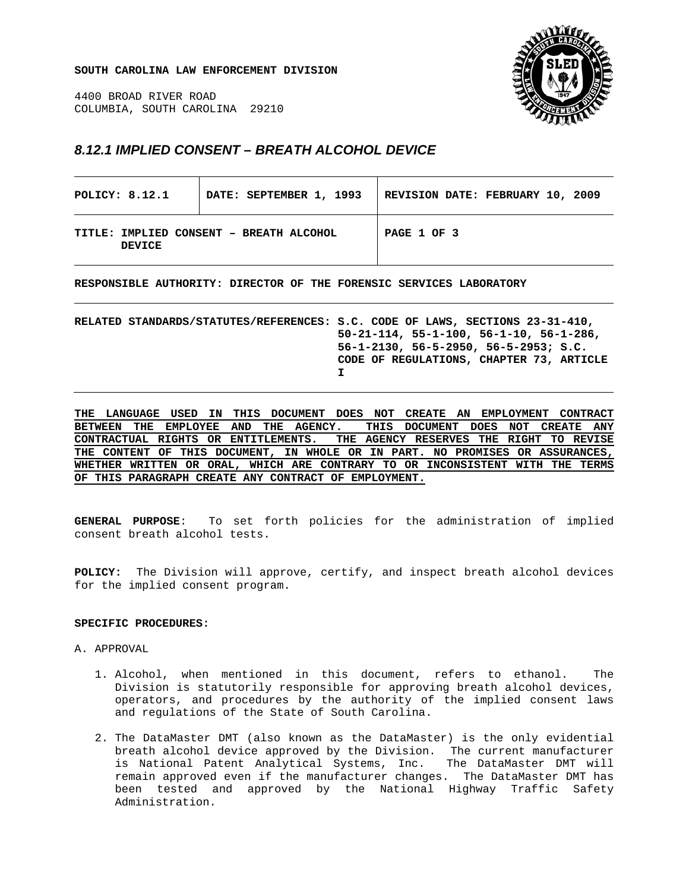**SOUTH CAROLINA LAW ENFORCEMENT DIVISION** 

4400 BROAD RIVER ROAD COLUMBIA, SOUTH CAROLINA 29210



## *8.12.1 IMPLIED CONSENT – BREATH ALCOHOL DEVICE*

| POLICY: 8.12.1 |                                         | DATE: SEPTEMBER 1, 1993 | REVISION DATE: FEBRUARY 10, 2009 |  |
|----------------|-----------------------------------------|-------------------------|----------------------------------|--|
| <b>DEVICE</b>  | TITLE: IMPLIED CONSENT - BREATH ALCOHOL |                         | PAGE 1 OF 3                      |  |

**RESPONSIBLE AUTHORITY: DIRECTOR OF THE FORENSIC SERVICES LABORATORY** 

**RELATED STANDARDS/STATUTES/REFERENCES: S.C. CODE OF LAWS, SECTIONS 23-31-410, 50-21-114, 55-1-100, 56-1-10, 56-1-286, 56-1-2130, 56-5-2950, 56-5-2953; S.C. CODE OF REGULATIONS, CHAPTER 73, ARTICLE I** 

**THE LANGUAGE USED IN THIS DOCUMENT DOES NOT CREATE AN EMPLOYMENT CONTRACT BETWEEN THE EMPLOYEE AND THE AGENCY. THIS DOCUMENT DOES NOT CREATE ANY CONTRACTUAL RIGHTS OR ENTITLEMENTS. THE AGENCY RESERVES THE RIGHT TO REVISE THE CONTENT OF THIS DOCUMENT, IN WHOLE OR IN PART. NO PROMISES OR ASSURANCES, WHETHER WRITTEN OR ORAL, WHICH ARE CONTRARY TO OR INCONSISTENT WITH THE TERMS OF THIS PARAGRAPH CREATE ANY CONTRACT OF EMPLOYMENT.**

**GENERAL PURPOSE**: To set forth policies for the administration of implied consent breath alcohol tests.

**POLICY:** The Division will approve, certify, and inspect breath alcohol devices for the implied consent program.

## **SPECIFIC PROCEDURES:**

- A. APPROVAL
	- 1. Alcohol, when mentioned in this document, refers to ethanol. The Division is statutorily responsible for approving breath alcohol devices, operators, and procedures by the authority of the implied consent laws and regulations of the State of South Carolina.
	- 2. The DataMaster DMT (also known as the DataMaster) is the only evidential breath alcohol device approved by the Division. The current manufacturer is National Patent Analytical Systems, Inc. The DataMaster DMT will remain approved even if the manufacturer changes. The DataMaster DMT has been tested and approved by the National Highway Traffic Safety Administration.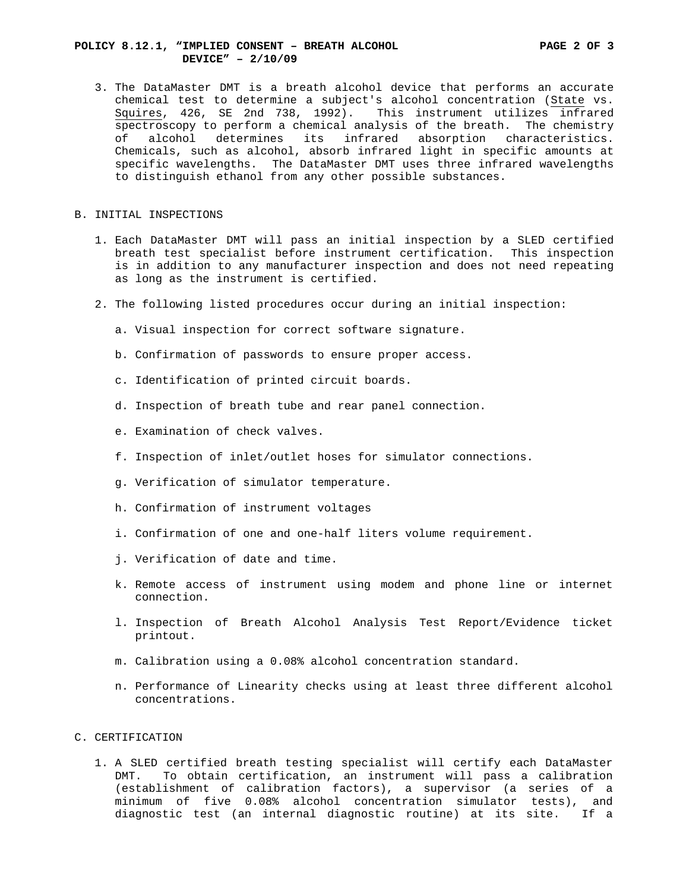## **POLICY 8.12.1, "IMPLIED CONSENT – BREATH ALCOHOL PAGE 2 OF 3 DEVICE" – 2/10/09**

- 3. The DataMaster DMT is a breath alcohol device that performs an accurate chemical test to determine a subject's alcohol concentration (State vs. Squires, 426, SE 2nd 738, 1992). This instrument utilizes infrared spectroscopy to perform a chemical analysis of the breath. The chemistry of alcohol determines its infrared absorption characteristics. Chemicals, such as alcohol, absorb infrared light in specific amounts at specific wavelengths. The DataMaster DMT uses three infrared wavelengths to distinguish ethanol from any other possible substances.
- B. INITIAL INSPECTIONS
	- 1. Each DataMaster DMT will pass an initial inspection by a SLED certified breath test specialist before instrument certification. This inspection is in addition to any manufacturer inspection and does not need repeating as long as the instrument is certified.
	- 2. The following listed procedures occur during an initial inspection:
		- a. Visual inspection for correct software signature.
		- b. Confirmation of passwords to ensure proper access.
		- c. Identification of printed circuit boards.
		- d. Inspection of breath tube and rear panel connection.
		- e. Examination of check valves.
		- f. Inspection of inlet/outlet hoses for simulator connections.
		- g. Verification of simulator temperature.
		- h. Confirmation of instrument voltages
		- i. Confirmation of one and one-half liters volume requirement.
		- j. Verification of date and time.
		- k. Remote access of instrument using modem and phone line or internet connection.
		- l. Inspection of Breath Alcohol Analysis Test Report/Evidence ticket printout.
		- m. Calibration using a 0.08% alcohol concentration standard.
		- n. Performance of Linearity checks using at least three different alcohol concentrations.
- C. CERTIFICATION
	- 1. A SLED certified breath testing specialist will certify each DataMaster DMT. To obtain certification, an instrument will pass a calibration (establishment of calibration factors), a supervisor (a series of a minimum of five 0.08% alcohol concentration simulator tests), and diagnostic test (an internal diagnostic routine) at its site. If a